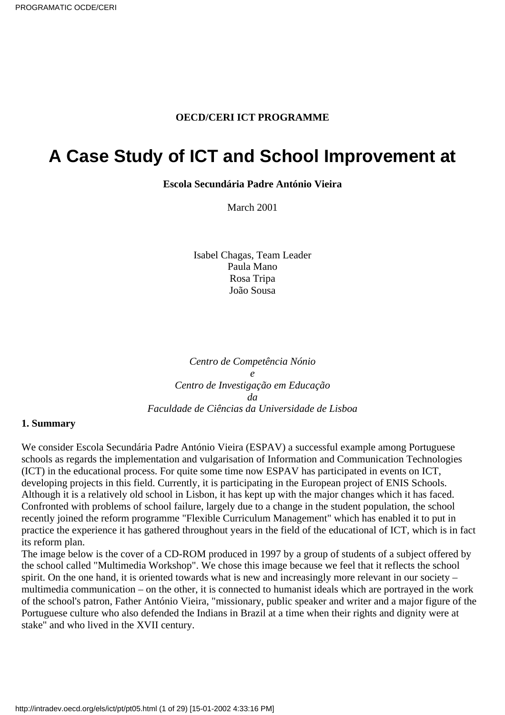#### **OECD/CERI ICT PROGRAMME**

# <span id="page-0-0"></span>**A Case Study of ICT and School Improvement at**

**Escola Secundária Padre António Vieira**

March 2001

Isabel Chagas, Team Leader Paula Mano Rosa Tripa João Sousa

*Centro de Competência Nónio e Centro de Investigação em Educação da Faculdade de Ciências da Universidade de Lisboa*

#### **1. Summary**

We consider Escola Secundária Padre António Vieira (ESPAV) a successful example among Portuguese schools as regards the implementation and vulgarisation of Information and Communication Technologies (ICT) in the educational process. For quite some time now ESPAV has participated in events on ICT, developing projects in this field. Currently, it is participating in the European project of ENIS Schools. Although it is a relatively old school in Lisbon, it has kept up with the major changes which it has faced. Confronted with problems of school failure, largely due to a change in the student population, the school recently joined the reform programme "Flexible Curriculum Management" which has enabled it to put in practice the experience it has gathered throughout years in the field of the educational of ICT, which is in fact its reform plan.

The image below is the cover of a CD-ROM produced in 1997 by a group of students of a subject offered by the school called "Multimedia Workshop". We chose this image because we feel that it reflects the school spirit. On the one hand, it is oriented towards what is new and increasingly more relevant in our society – multimedia communication – on the other, it is connected to humanist ideals which are portrayed in the work of the school's patron, Father António Vieira, "missionary, public speaker and writer and a major figure of the Portuguese culture who also defended the Indians in Brazil at a time when their rights and dignity were at stake" and who lived in the XVII century.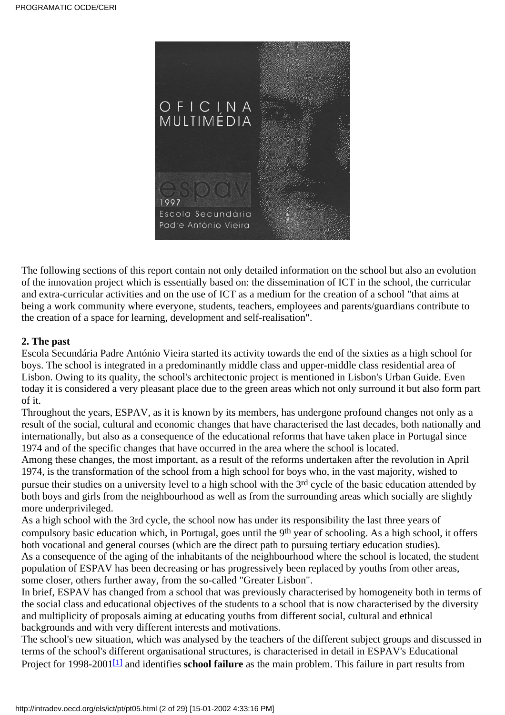

The following sections of this report contain not only detailed information on the school but also an evolution of the innovation project which is essentially based on: the dissemination of ICT in the school, the curricular and extra-curricular activities and on the use of ICT as a medium for the creation of a school "that aims at being a work community where everyone, students, teachers, employees and parents/guardians contribute to the creation of a space for learning, development and self-realisation".

## **2. The past**

Escola Secundária Padre António Vieira started its activity towards the end of the sixties as a high school for boys. The school is integrated in a predominantly middle class and upper-middle class residential area of Lisbon. Owing to its quality, the school's architectonic project is mentioned in Lisbon's Urban Guide. Even today it is considered a very pleasant place due to the green areas which not only surround it but also form part of it.

Throughout the years, ESPAV, as it is known by its members, has undergone profound changes not only as a result of the social, cultural and economic changes that have characterised the last decades, both nationally and internationally, but also as a consequence of the educational reforms that have taken place in Portugal since 1974 and of the specific changes that have occurred in the area where the school is located.

Among these changes, the most important, as a result of the reforms undertaken after the revolution in April 1974, is the transformation of the school from a high school for boys who, in the vast majority, wished to pursue their studies on a university level to a high school with the 3rd cycle of the basic education attended by both boys and girls from the neighbourhood as well as from the surrounding areas which socially are slightly more underprivileged.

As a high school with the 3rd cycle, the school now has under its responsibility the last three years of compulsory basic education which, in Portugal, goes until the 9<sup>th</sup> year of schooling. As a high school, it offers both vocational and general courses (which are the direct path to pursuing tertiary education studies). As a consequence of the aging of the inhabitants of the neighbourhood where the school is located, the student

population of ESPAV has been decreasing or has progressively been replaced by youths from other areas, some closer, others further away, from the so-called "Greater Lisbon".

In brief, ESPAV has changed from a school that was previously characterised by homogeneity both in terms of the social class and educational objectives of the students to a school that is now characterised by the diversity and multiplicity of proposals aiming at educating youths from different social, cultural and ethnical backgrounds and with very different interests and motivations.

<span id="page-1-0"></span>The school's new situation, which was analysed by the teachers of the different subject groups and discussed in terms of the school's different organisational structures, is characterised in detail in ESPAV's Educational Project for 1998-2001<sup>[\[1\]](#page-28-0)</sup> and identifies **school failure** as the main problem. This failure in part results from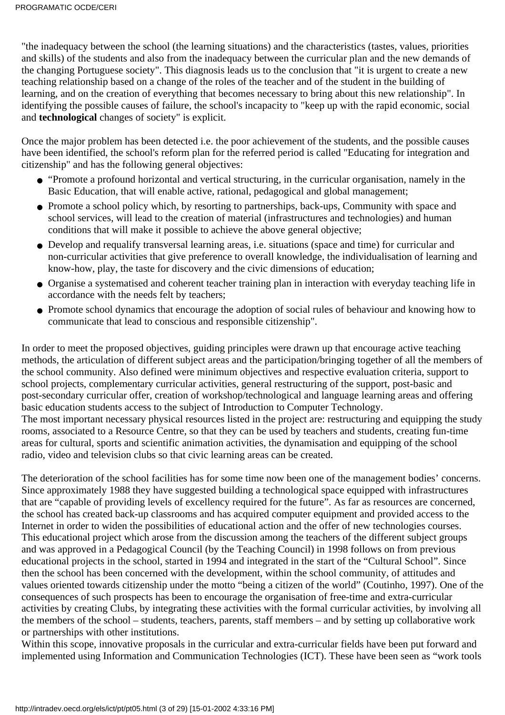"the inadequacy between the school (the learning situations) and the characteristics (tastes, values, priorities and skills) of the students and also from the inadequacy between the curricular plan and the new demands of the changing Portuguese society". This diagnosis leads us to the conclusion that "it is urgent to create a new teaching relationship based on a change of the roles of the teacher and of the student in the building of learning, and on the creation of everything that becomes necessary to bring about this new relationship". In identifying the possible causes of failure, the school's incapacity to "keep up with the rapid economic, social and **technological** changes of society" is explicit.

Once the major problem has been detected i.e. the poor achievement of the students, and the possible causes have been identified, the school's reform plan for the referred period is called "Educating for integration and citizenship" and has the following general objectives:

- "Promote a profound horizontal and vertical structuring, in the curricular organisation, namely in the Basic Education, that will enable active, rational, pedagogical and global management;
- Promote a school policy which, by resorting to partnerships, back-ups, Community with space and school services, will lead to the creation of material (infrastructures and technologies) and human conditions that will make it possible to achieve the above general objective;
- Develop and requalify transversal learning areas, i.e. situations (space and time) for curricular and non-curricular activities that give preference to overall knowledge, the individualisation of learning and know-how, play, the taste for discovery and the civic dimensions of education;
- Organise a systematised and coherent teacher training plan in interaction with everyday teaching life in accordance with the needs felt by teachers;
- Promote school dynamics that encourage the adoption of social rules of behaviour and knowing how to communicate that lead to conscious and responsible citizenship".

In order to meet the proposed objectives, guiding principles were drawn up that encourage active teaching methods, the articulation of different subject areas and the participation/bringing together of all the members of the school community. Also defined were minimum objectives and respective evaluation criteria, support to school projects, complementary curricular activities, general restructuring of the support, post-basic and post-secondary curricular offer, creation of workshop/technological and language learning areas and offering basic education students access to the subject of Introduction to Computer Technology. The most important necessary physical resources listed in the project are: restructuring and equipping the study rooms, associated to a Resource Centre, so that they can be used by teachers and students, creating fun-time areas for cultural, sports and scientific animation activities, the dynamisation and equipping of the school radio, video and television clubs so that civic learning areas can be created.

The deterioration of the school facilities has for some time now been one of the management bodies' concerns. Since approximately 1988 they have suggested building a technological space equipped with infrastructures that are "capable of providing levels of excellency required for the future". As far as resources are concerned, the school has created back-up classrooms and has acquired computer equipment and provided access to the Internet in order to widen the possibilities of educational action and the offer of new technologies courses. This educational project which arose from the discussion among the teachers of the different subject groups and was approved in a Pedagogical Council (by the Teaching Council) in 1998 follows on from previous educational projects in the school, started in 1994 and integrated in the start of the "Cultural School". Since then the school has been concerned with the development, within the school community, of attitudes and values oriented towards citizenship under the motto "being a citizen of the world" (Coutinho, 1997). One of the consequences of such prospects has been to encourage the organisation of free-time and extra-curricular activities by creating Clubs, by integrating these activities with the formal curricular activities, by involving all the members of the school – students, teachers, parents, staff members – and by setting up collaborative work or partnerships with other institutions.

Within this scope, innovative proposals in the curricular and extra-curricular fields have been put forward and implemented using Information and Communication Technologies (ICT). These have been seen as "work tools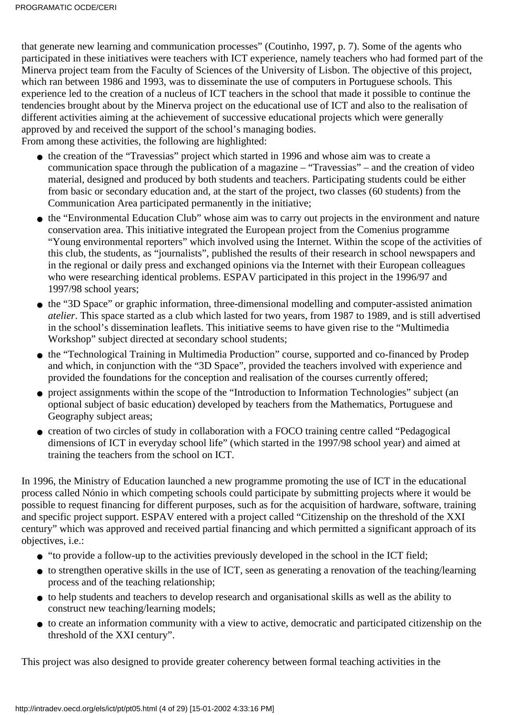that generate new learning and communication processes" (Coutinho, 1997, p. 7). Some of the agents who participated in these initiatives were teachers with ICT experience, namely teachers who had formed part of the Minerva project team from the Faculty of Sciences of the University of Lisbon. The objective of this project, which ran between 1986 and 1993, was to disseminate the use of computers in Portuguese schools. This experience led to the creation of a nucleus of ICT teachers in the school that made it possible to continue the tendencies brought about by the Minerva project on the educational use of ICT and also to the realisation of different activities aiming at the achievement of successive educational projects which were generally approved by and received the support of the school's managing bodies.

From among these activities, the following are highlighted:

- the creation of the "Travessias" project which started in 1996 and whose aim was to create a communication space through the publication of a magazine – "Travessias" – and the creation of video material, designed and produced by both students and teachers. Participating students could be either from basic or secondary education and, at the start of the project, two classes (60 students) from the Communication Area participated permanently in the initiative;
- the "Environmental Education Club" whose aim was to carry out projects in the environment and nature conservation area. This initiative integrated the European project from the Comenius programme "Young environmental reporters" which involved using the Internet. Within the scope of the activities of this club, the students, as "journalists", published the results of their research in school newspapers and in the regional or daily press and exchanged opinions via the Internet with their European colleagues who were researching identical problems. ESPAV participated in this project in the 1996/97 and 1997/98 school years;
- the "3D Space" or graphic information, three-dimensional modelling and computer-assisted animation *atelier*. This space started as a club which lasted for two years, from 1987 to 1989, and is still advertised in the school's dissemination leaflets. This initiative seems to have given rise to the "Multimedia Workshop" subject directed at secondary school students;
- the "Technological Training in Multimedia Production" course, supported and co-financed by Prodep and which, in conjunction with the "3D Space", provided the teachers involved with experience and provided the foundations for the conception and realisation of the courses currently offered;
- project assignments within the scope of the "Introduction to Information Technologies" subject (an optional subject of basic education) developed by teachers from the Mathematics, Portuguese and Geography subject areas;
- creation of two circles of study in collaboration with a FOCO training centre called "Pedagogical dimensions of ICT in everyday school life" (which started in the 1997/98 school year) and aimed at training the teachers from the school on ICT.

In 1996, the Ministry of Education launched a new programme promoting the use of ICT in the educational process called Nónio in which competing schools could participate by submitting projects where it would be possible to request financing for different purposes, such as for the acquisition of hardware, software, training and specific project support. ESPAV entered with a project called "Citizenship on the threshold of the XXI century" which was approved and received partial financing and which permitted a significant approach of its objectives, i.e.:

- "to provide a follow-up to the activities previously developed in the school in the ICT field;
- to strengthen operative skills in the use of ICT, seen as generating a renovation of the teaching/learning process and of the teaching relationship;
- to help students and teachers to develop research and organisational skills as well as the ability to construct new teaching/learning models;
- to create an information community with a view to active, democratic and participated citizenship on the threshold of the XXI century".

This project was also designed to provide greater coherency between formal teaching activities in the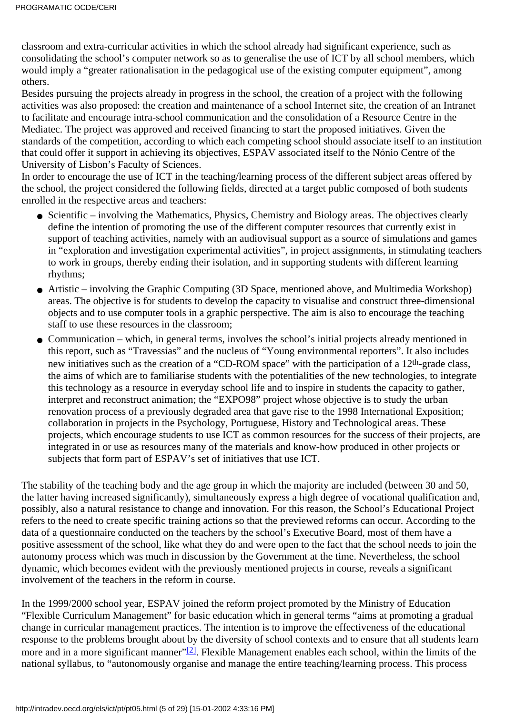classroom and extra-curricular activities in which the school already had significant experience, such as consolidating the school's computer network so as to generalise the use of ICT by all school members, which would imply a "greater rationalisation in the pedagogical use of the existing computer equipment", among others.

Besides pursuing the projects already in progress in the school, the creation of a project with the following activities was also proposed: the creation and maintenance of a school Internet site, the creation of an Intranet to facilitate and encourage intra-school communication and the consolidation of a Resource Centre in the Mediatec. The project was approved and received financing to start the proposed initiatives. Given the standards of the competition, according to which each competing school should associate itself to an institution that could offer it support in achieving its objectives, ESPAV associated itself to the Nónio Centre of the University of Lisbon's Faculty of Sciences.

In order to encourage the use of ICT in the teaching/learning process of the different subject areas offered by the school, the project considered the following fields, directed at a target public composed of both students enrolled in the respective areas and teachers:

- Scientific involving the Mathematics, Physics, Chemistry and Biology areas. The objectives clearly define the intention of promoting the use of the different computer resources that currently exist in support of teaching activities, namely with an audiovisual support as a source of simulations and games in "exploration and investigation experimental activities", in project assignments, in stimulating teachers to work in groups, thereby ending their isolation, and in supporting students with different learning rhythms;
- Artistic involving the Graphic Computing (3D Space, mentioned above, and Multimedia Workshop) areas. The objective is for students to develop the capacity to visualise and construct three-dimensional objects and to use computer tools in a graphic perspective. The aim is also to encourage the teaching staff to use these resources in the classroom;
- Communication which, in general terms, involves the school's initial projects already mentioned in this report, such as "Travessias" and the nucleus of "Young environmental reporters". It also includes new initiatives such as the creation of a "CD-ROM space" with the participation of a 12th-grade class, the aims of which are to familiarise students with the potentialities of the new technologies, to integrate this technology as a resource in everyday school life and to inspire in students the capacity to gather, interpret and reconstruct animation; the "EXPO98" project whose objective is to study the urban renovation process of a previously degraded area that gave rise to the 1998 International Exposition; collaboration in projects in the Psychology, Portuguese, History and Technological areas. These projects, which encourage students to use ICT as common resources for the success of their projects, are integrated in or use as resources many of the materials and know-how produced in other projects or subjects that form part of ESPAV's set of initiatives that use ICT.

The stability of the teaching body and the age group in which the majority are included (between 30 and 50, the latter having increased significantly), simultaneously express a high degree of vocational qualification and, possibly, also a natural resistance to change and innovation. For this reason, the School's Educational Project refers to the need to create specific training actions so that the previewed reforms can occur. According to the data of a questionnaire conducted on the teachers by the school's Executive Board, most of them have a positive assessment of the school, like what they do and were open to the fact that the school needs to join the autonomy process which was much in discussion by the Government at the time. Nevertheless, the school dynamic, which becomes evident with the previously mentioned projects in course, reveals a significant involvement of the teachers in the reform in course.

<span id="page-4-0"></span>In the 1999/2000 school year, ESPAV joined the reform project promoted by the Ministry of Education "Flexible Curriculum Management" for basic education which in general terms "aims at promoting a gradual change in curricular management practices. The intention is to improve the effectiveness of the educational response to the problems brought about by the diversity of school contexts and to ensure that all students learn more and in a more significant manner" $[2]$ . Flexible Management enables each school, within the limits of the national syllabus, to "autonomously organise and manage the entire teaching/learning process. This process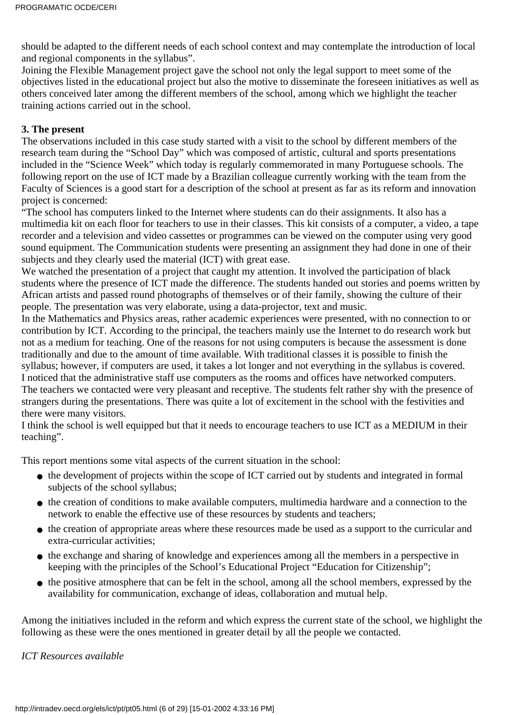should be adapted to the different needs of each school context and may contemplate the introduction of local and regional components in the syllabus".

Joining the Flexible Management project gave the school not only the legal support to meet some of the objectives listed in the educational project but also the motive to disseminate the foreseen initiatives as well as others conceived later among the different members of the school, among which we highlight the teacher training actions carried out in the school.

## **3. The present**

The observations included in this case study started with a visit to the school by different members of the research team during the "School Day" which was composed of artistic, cultural and sports presentations included in the "Science Week" which today is regularly commemorated in many Portuguese schools. The following report on the use of ICT made by a Brazilian colleague currently working with the team from the Faculty of Sciences is a good start for a description of the school at present as far as its reform and innovation project is concerned:

"The school has computers linked to the Internet where students can do their assignments. It also has a multimedia kit on each floor for teachers to use in their classes. This kit consists of a computer, a video, a tape recorder and a television and video cassettes or programmes can be viewed on the computer using very good sound equipment. The Communication students were presenting an assignment they had done in one of their subjects and they clearly used the material (ICT) with great ease.

We watched the presentation of a project that caught my attention. It involved the participation of black students where the presence of ICT made the difference. The students handed out stories and poems written by African artists and passed round photographs of themselves or of their family, showing the culture of their people. The presentation was very elaborate, using a data-projector, text and music.

In the Mathematics and Physics areas, rather academic experiences were presented, with no connection to or contribution by ICT. According to the principal, the teachers mainly use the Internet to do research work but not as a medium for teaching. One of the reasons for not using computers is because the assessment is done traditionally and due to the amount of time available. With traditional classes it is possible to finish the syllabus; however, if computers are used, it takes a lot longer and not everything in the syllabus is covered. I noticed that the administrative staff use computers as the rooms and offices have networked computers. The teachers we contacted were very pleasant and receptive. The students felt rather shy with the presence of strangers during the presentations. There was quite a lot of excitement in the school with the festivities and there were many visitors.

I think the school is well equipped but that it needs to encourage teachers to use ICT as a MEDIUM in their teaching".

This report mentions some vital aspects of the current situation in the school:

- the development of projects within the scope of ICT carried out by students and integrated in formal subjects of the school syllabus;
- the creation of conditions to make available computers, multimedia hardware and a connection to the network to enable the effective use of these resources by students and teachers;
- the creation of appropriate areas where these resources made be used as a support to the curricular and extra-curricular activities;
- the exchange and sharing of knowledge and experiences among all the members in a perspective in keeping with the principles of the School's Educational Project "Education for Citizenship";
- the positive atmosphere that can be felt in the school, among all the school members, expressed by the availability for communication, exchange of ideas, collaboration and mutual help.

Among the initiatives included in the reform and which express the current state of the school, we highlight the following as these were the ones mentioned in greater detail by all the people we contacted.

## *ICT Resources available*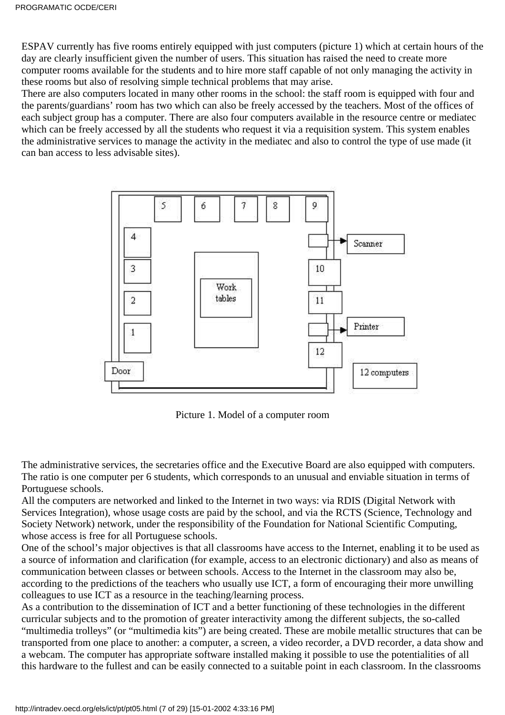ESPAV currently has five rooms entirely equipped with just computers (picture 1) which at certain hours of the day are clearly insufficient given the number of users. This situation has raised the need to create more computer rooms available for the students and to hire more staff capable of not only managing the activity in these rooms but also of resolving simple technical problems that may arise.

There are also computers located in many other rooms in the school: the staff room is equipped with four and the parents/guardians' room has two which can also be freely accessed by the teachers. Most of the offices of each subject group has a computer. There are also four computers available in the resource centre or mediatec which can be freely accessed by all the students who request it via a requisition system. This system enables the administrative services to manage the activity in the mediatec and also to control the type of use made (it can ban access to less advisable sites).



Picture 1. Model of a computer room

The administrative services, the secretaries office and the Executive Board are also equipped with computers. The ratio is one computer per 6 students, which corresponds to an unusual and enviable situation in terms of Portuguese schools.

All the computers are networked and linked to the Internet in two ways: via RDIS (Digital Network with Services Integration), whose usage costs are paid by the school, and via the RCTS (Science, Technology and Society Network) network, under the responsibility of the Foundation for National Scientific Computing, whose access is free for all Portuguese schools.

One of the school's major objectives is that all classrooms have access to the Internet, enabling it to be used as a source of information and clarification (for example, access to an electronic dictionary) and also as means of communication between classes or between schools. Access to the Internet in the classroom may also be, according to the predictions of the teachers who usually use ICT, a form of encouraging their more unwilling colleagues to use ICT as a resource in the teaching/learning process.

As a contribution to the dissemination of ICT and a better functioning of these technologies in the different curricular subjects and to the promotion of greater interactivity among the different subjects, the so-called "multimedia trolleys" (or "multimedia kits") are being created. These are mobile metallic structures that can be transported from one place to another: a computer, a screen, a video recorder, a DVD recorder, a data show and a webcam. The computer has appropriate software installed making it possible to use the potentialities of all this hardware to the fullest and can be easily connected to a suitable point in each classroom. In the classrooms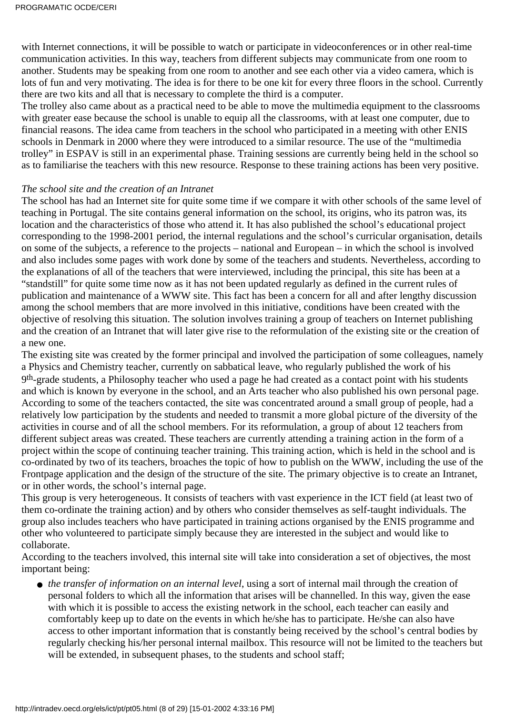with Internet connections, it will be possible to watch or participate in videoconferences or in other real-time communication activities. In this way, teachers from different subjects may communicate from one room to another. Students may be speaking from one room to another and see each other via a video camera, which is lots of fun and very motivating. The idea is for there to be one kit for every three floors in the school. Currently there are two kits and all that is necessary to complete the third is a computer.

The trolley also came about as a practical need to be able to move the multimedia equipment to the classrooms with greater ease because the school is unable to equip all the classrooms, with at least one computer, due to financial reasons. The idea came from teachers in the school who participated in a meeting with other ENIS schools in Denmark in 2000 where they were introduced to a similar resource. The use of the "multimedia trolley" in ESPAV is still in an experimental phase. Training sessions are currently being held in the school so as to familiarise the teachers with this new resource. Response to these training actions has been very positive.

#### *The school site and the creation of an Intranet*

The school has had an Internet site for quite some time if we compare it with other schools of the same level of teaching in Portugal. The site contains general information on the school, its origins, who its patron was, its location and the characteristics of those who attend it. It has also published the school's educational project corresponding to the 1998-2001 period, the internal regulations and the school's curricular organisation, details on some of the subjects, a reference to the projects – national and European – in which the school is involved and also includes some pages with work done by some of the teachers and students. Nevertheless, according to the explanations of all of the teachers that were interviewed, including the principal, this site has been at a "standstill" for quite some time now as it has not been updated regularly as defined in the current rules of publication and maintenance of a WWW site. This fact has been a concern for all and after lengthy discussion among the school members that are more involved in this initiative, conditions have been created with the objective of resolving this situation. The solution involves training a group of teachers on Internet publishing and the creation of an Intranet that will later give rise to the reformulation of the existing site or the creation of a new one.

The existing site was created by the former principal and involved the participation of some colleagues, namely a Physics and Chemistry teacher, currently on sabbatical leave, who regularly published the work of his 9th-grade students, a Philosophy teacher who used a page he had created as a contact point with his students and which is known by everyone in the school, and an Arts teacher who also published his own personal page. According to some of the teachers contacted, the site was concentrated around a small group of people, had a relatively low participation by the students and needed to transmit a more global picture of the diversity of the activities in course and of all the school members. For its reformulation, a group of about 12 teachers from different subject areas was created. These teachers are currently attending a training action in the form of a project within the scope of continuing teacher training. This training action, which is held in the school and is co-ordinated by two of its teachers, broaches the topic of how to publish on the WWW, including the use of the Frontpage application and the design of the structure of the site. The primary objective is to create an Intranet, or in other words, the school's internal page.

This group is very heterogeneous. It consists of teachers with vast experience in the ICT field (at least two of them co-ordinate the training action) and by others who consider themselves as self-taught individuals. The group also includes teachers who have participated in training actions organised by the ENIS programme and other who volunteered to participate simply because they are interested in the subject and would like to collaborate.

According to the teachers involved, this internal site will take into consideration a set of objectives, the most important being:

• the transfer of information on an internal level, using a sort of internal mail through the creation of personal folders to which all the information that arises will be channelled. In this way, given the ease with which it is possible to access the existing network in the school, each teacher can easily and comfortably keep up to date on the events in which he/she has to participate. He/she can also have access to other important information that is constantly being received by the school's central bodies by regularly checking his/her personal internal mailbox. This resource will not be limited to the teachers but will be extended, in subsequent phases, to the students and school staff;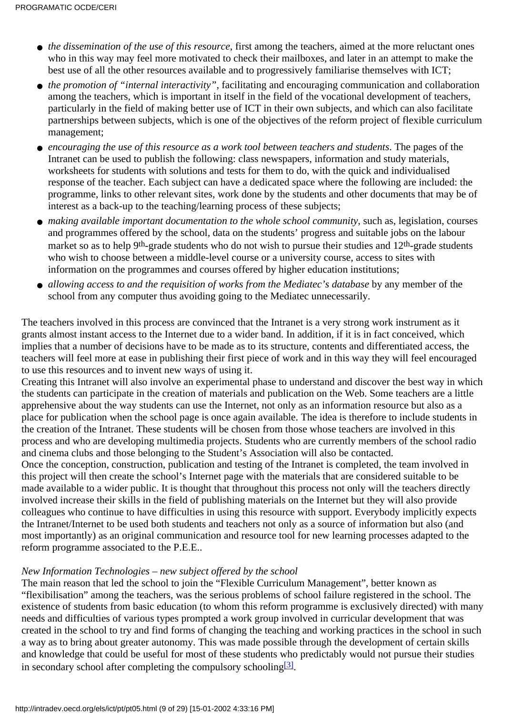- the dissemination of the use of this resource, first among the teachers, aimed at the more reluctant ones who in this way may feel more motivated to check their mailboxes, and later in an attempt to make the best use of all the other resources available and to progressively familiarise themselves with ICT;
- the promotion of "internal interactivity", facilitating and encouraging communication and collaboration among the teachers, which is important in itself in the field of the vocational development of teachers, particularly in the field of making better use of ICT in their own subjects, and which can also facilitate partnerships between subjects, which is one of the objectives of the reform project of flexible curriculum management;
- *encouraging the use of this resource as a work tool between teachers and students*. The pages of the Intranet can be used to publish the following: class newspapers, information and study materials, worksheets for students with solutions and tests for them to do, with the quick and individualised response of the teacher. Each subject can have a dedicated space where the following are included: the programme, links to other relevant sites, work done by the students and other documents that may be of interest as a back-up to the teaching/learning process of these subjects;
- *making available important documentation to the whole school community*, such as, legislation, courses and programmes offered by the school, data on the students' progress and suitable jobs on the labour market so as to help 9<sup>th</sup>-grade students who do not wish to pursue their studies and 12<sup>th</sup>-grade students who wish to choose between a middle-level course or a university course, access to sites with information on the programmes and courses offered by higher education institutions;
- allowing access to and the requisition of works from the Mediatec's database by any member of the school from any computer thus avoiding going to the Mediatec unnecessarily.

The teachers involved in this process are convinced that the Intranet is a very strong work instrument as it grants almost instant access to the Internet due to a wider band. In addition, if it is in fact conceived, which implies that a number of decisions have to be made as to its structure, contents and differentiated access, the teachers will feel more at ease in publishing their first piece of work and in this way they will feel encouraged to use this resources and to invent new ways of using it.

Creating this Intranet will also involve an experimental phase to understand and discover the best way in which the students can participate in the creation of materials and publication on the Web. Some teachers are a little apprehensive about the way students can use the Internet, not only as an information resource but also as a place for publication when the school page is once again available. The idea is therefore to include students in the creation of the Intranet. These students will be chosen from those whose teachers are involved in this process and who are developing multimedia projects. Students who are currently members of the school radio and cinema clubs and those belonging to the Student's Association will also be contacted.

Once the conception, construction, publication and testing of the Intranet is completed, the team involved in this project will then create the school's Internet page with the materials that are considered suitable to be made available to a wider public. It is thought that throughout this process not only will the teachers directly involved increase their skills in the field of publishing materials on the Internet but they will also provide colleagues who continue to have difficulties in using this resource with support. Everybody implicitly expects the Intranet/Internet to be used both students and teachers not only as a source of information but also (and most importantly) as an original communication and resource tool for new learning processes adapted to the reform programme associated to the P.E.E..

## *New Information Technologies – new subject offered by the school*

<span id="page-8-0"></span>The main reason that led the school to join the "Flexible Curriculum Management", better known as "flexibilisation" among the teachers, was the serious problems of school failure registered in the school. The existence of students from basic education (to whom this reform programme is exclusively directed) with many needs and difficulties of various types prompted a work group involved in curricular development that was created in the school to try and find forms of changing the teaching and working practices in the school in such a way as to bring about greater autonomy. This was made possible through the development of certain skills and knowledge that could be useful for most of these students who predictably would not pursue their studies in secondary school after completing the compulsory schooling  $[3]$ .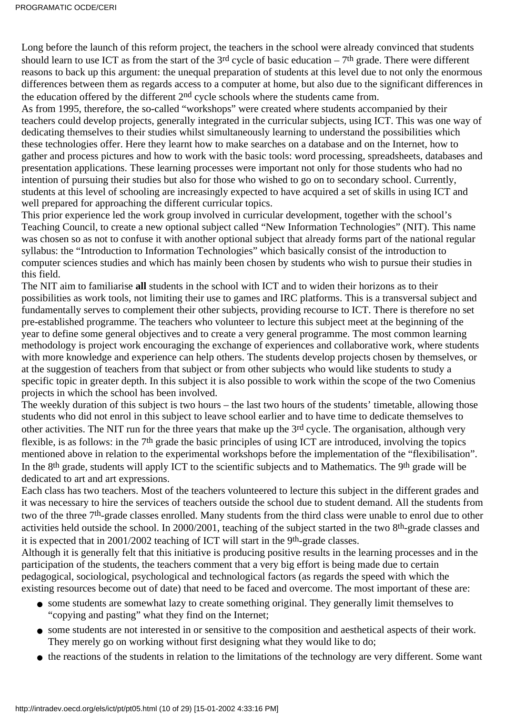Long before the launch of this reform project, the teachers in the school were already convinced that students should learn to use ICT as from the start of the  $3<sup>rd</sup>$  cycle of basic education – 7<sup>th</sup> grade. There were different reasons to back up this argument: the unequal preparation of students at this level due to not only the enormous differences between them as regards access to a computer at home, but also due to the significant differences in the education offered by the different 2<sup>nd</sup> cycle schools where the students came from.

As from 1995, therefore, the so-called "workshops" were created where students accompanied by their teachers could develop projects, generally integrated in the curricular subjects, using ICT. This was one way of dedicating themselves to their studies whilst simultaneously learning to understand the possibilities which these technologies offer. Here they learnt how to make searches on a database and on the Internet, how to gather and process pictures and how to work with the basic tools: word processing, spreadsheets, databases and presentation applications. These learning processes were important not only for those students who had no intention of pursuing their studies but also for those who wished to go on to secondary school. Currently, students at this level of schooling are increasingly expected to have acquired a set of skills in using ICT and well prepared for approaching the different curricular topics.

This prior experience led the work group involved in curricular development, together with the school's Teaching Council, to create a new optional subject called "New Information Technologies" (NIT). This name was chosen so as not to confuse it with another optional subject that already forms part of the national regular syllabus: the "Introduction to Information Technologies" which basically consist of the introduction to computer sciences studies and which has mainly been chosen by students who wish to pursue their studies in this field.

The NIT aim to familiarise **all** students in the school with ICT and to widen their horizons as to their possibilities as work tools, not limiting their use to games and IRC platforms. This is a transversal subject and fundamentally serves to complement their other subjects, providing recourse to ICT. There is therefore no set pre-established programme. The teachers who volunteer to lecture this subject meet at the beginning of the year to define some general objectives and to create a very general programme. The most common learning methodology is project work encouraging the exchange of experiences and collaborative work, where students with more knowledge and experience can help others. The students develop projects chosen by themselves, or at the suggestion of teachers from that subject or from other subjects who would like students to study a specific topic in greater depth. In this subject it is also possible to work within the scope of the two Comenius projects in which the school has been involved.

The weekly duration of this subject is two hours – the last two hours of the students' timetable, allowing those students who did not enrol in this subject to leave school earlier and to have time to dedicate themselves to other activities. The NIT run for the three years that make up the 3rd cycle. The organisation, although very flexible, is as follows: in the 7th grade the basic principles of using ICT are introduced, involving the topics mentioned above in relation to the experimental workshops before the implementation of the "flexibilisation". In the 8<sup>th</sup> grade, students will apply ICT to the scientific subjects and to Mathematics. The 9<sup>th</sup> grade will be dedicated to art and art expressions.

Each class has two teachers. Most of the teachers volunteered to lecture this subject in the different grades and it was necessary to hire the services of teachers outside the school due to student demand. All the students from two of the three 7th-grade classes enrolled. Many students from the third class were unable to enrol due to other activities held outside the school. In 2000/2001, teaching of the subject started in the two 8<sup>th</sup>-grade classes and it is expected that in 2001/2002 teaching of ICT will start in the 9th-grade classes.

Although it is generally felt that this initiative is producing positive results in the learning processes and in the participation of the students, the teachers comment that a very big effort is being made due to certain pedagogical, sociological, psychological and technological factors (as regards the speed with which the existing resources become out of date) that need to be faced and overcome. The most important of these are:

- some students are somewhat lazy to create something original. They generally limit themselves to "copying and pasting" what they find on the Internet;
- some students are not interested in or sensitive to the composition and aesthetical aspects of their work. They merely go on working without first designing what they would like to do;
- the reactions of the students in relation to the limitations of the technology are very different. Some want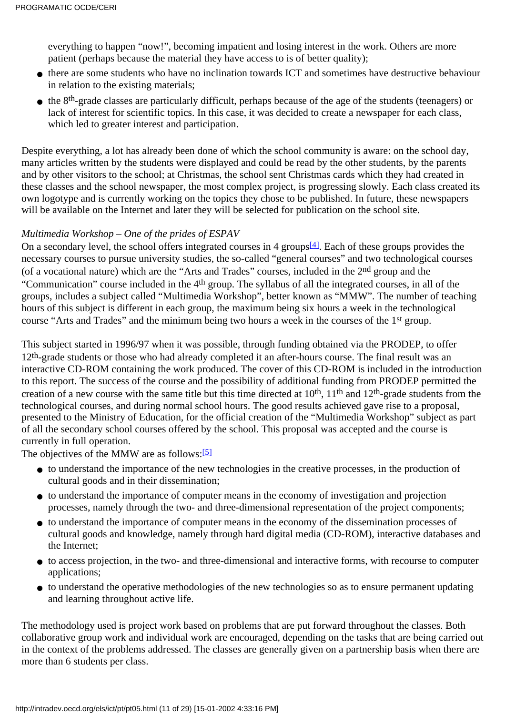everything to happen "now!", becoming impatient and losing interest in the work. Others are more patient (perhaps because the material they have access to is of better quality);

- there are some students who have no inclination towards ICT and sometimes have destructive behaviour in relation to the existing materials;
- the 8<sup>th</sup>-grade classes are particularly difficult, perhaps because of the age of the students (teenagers) or lack of interest for scientific topics. In this case, it was decided to create a newspaper for each class, which led to greater interest and participation.

Despite everything, a lot has already been done of which the school community is aware: on the school day, many articles written by the students were displayed and could be read by the other students, by the parents and by other visitors to the school; at Christmas, the school sent Christmas cards which they had created in these classes and the school newspaper, the most complex project, is progressing slowly. Each class created its own logotype and is currently working on the topics they chose to be published. In future, these newspapers will be available on the Internet and later they will be selected for publication on the school site.

## *Multimedia Workshop – One of the prides of ESPAV*

<span id="page-10-0"></span>On a secondary level, the school offers integrated courses in 4 groups<sup>[\[4\]](#page-28-1)</sup>. Each of these groups provides the necessary courses to pursue university studies, the so-called "general courses" and two technological courses (of a vocational nature) which are the "Arts and Trades" courses, included in the 2nd group and the "Communication" course included in the 4th group. The syllabus of all the integrated courses, in all of the groups, includes a subject called "Multimedia Workshop", better known as "MMW". The number of teaching hours of this subject is different in each group, the maximum being six hours a week in the technological course "Arts and Trades" and the minimum being two hours a week in the courses of the 1st group.

This subject started in 1996/97 when it was possible, through funding obtained via the PRODEP, to offer 12<sup>th</sup>-grade students or those who had already completed it an after-hours course. The final result was an interactive CD-ROM containing the work produced. The cover of this CD-ROM is included in the introduction to this report. The success of the course and the possibility of additional funding from PRODEP permitted the creation of a new course with the same title but this time directed at 10<sup>th</sup>, 11<sup>th</sup> and 12<sup>th</sup>-grade students from the technological courses, and during normal school hours. The good results achieved gave rise to a proposal, presented to the Ministry of Education, for the official creation of the "Multimedia Workshop" subject as part of all the secondary school courses offered by the school. This proposal was accepted and the course is currently in full operation.

<span id="page-10-1"></span>The objectives of the MMW are as follows:<sup>[5]</sup>

- to understand the importance of the new technologies in the creative processes, in the production of cultural goods and in their dissemination;
- to understand the importance of computer means in the economy of investigation and projection processes, namely through the two- and three-dimensional representation of the project components;
- to understand the importance of computer means in the economy of the dissemination processes of cultural goods and knowledge, namely through hard digital media (CD-ROM), interactive databases and the Internet;
- to access projection, in the two- and three-dimensional and interactive forms, with recourse to computer applications;
- to understand the operative methodologies of the new technologies so as to ensure permanent updating and learning throughout active life.

The methodology used is project work based on problems that are put forward throughout the classes. Both collaborative group work and individual work are encouraged, depending on the tasks that are being carried out in the context of the problems addressed. The classes are generally given on a partnership basis when there are more than 6 students per class.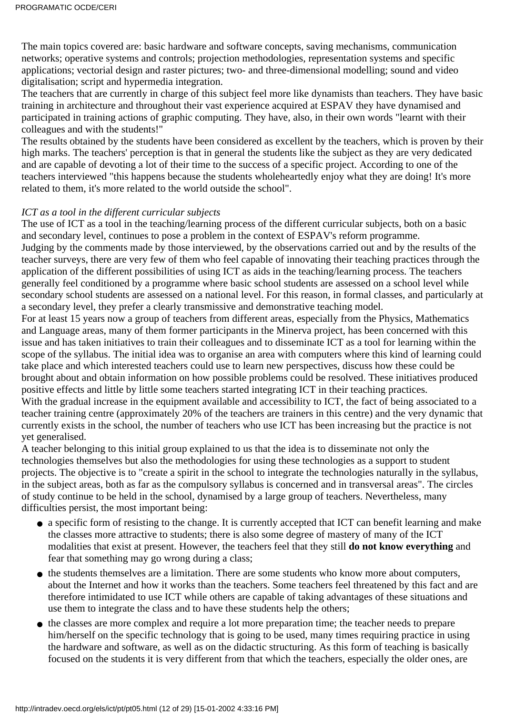The main topics covered are: basic hardware and software concepts, saving mechanisms, communication networks; operative systems and controls; projection methodologies, representation systems and specific applications; vectorial design and raster pictures; two- and three-dimensional modelling; sound and video digitalisation; script and hypermedia integration.

The teachers that are currently in charge of this subject feel more like dynamists than teachers. They have basic training in architecture and throughout their vast experience acquired at ESPAV they have dynamised and participated in training actions of graphic computing. They have, also, in their own words "learnt with their colleagues and with the students!"

The results obtained by the students have been considered as excellent by the teachers, which is proven by their high marks. The teachers' perception is that in general the students like the subject as they are very dedicated and are capable of devoting a lot of their time to the success of a specific project. According to one of the teachers interviewed "this happens because the students wholeheartedly enjoy what they are doing! It's more related to them, it's more related to the world outside the school".

#### *ICT as a tool in the different curricular subjects*

The use of ICT as a tool in the teaching/learning process of the different curricular subjects, both on a basic and secondary level, continues to pose a problem in the context of ESPAV's reform programme. Judging by the comments made by those interviewed, by the observations carried out and by the results of the teacher surveys, there are very few of them who feel capable of innovating their teaching practices through the application of the different possibilities of using ICT as aids in the teaching/learning process. The teachers generally feel conditioned by a programme where basic school students are assessed on a school level while secondary school students are assessed on a national level. For this reason, in formal classes, and particularly at a secondary level, they prefer a clearly transmissive and demonstrative teaching model.

For at least 15 years now a group of teachers from different areas, especially from the Physics, Mathematics and Language areas, many of them former participants in the Minerva project, has been concerned with this issue and has taken initiatives to train their colleagues and to disseminate ICT as a tool for learning within the scope of the syllabus. The initial idea was to organise an area with computers where this kind of learning could take place and which interested teachers could use to learn new perspectives, discuss how these could be brought about and obtain information on how possible problems could be resolved. These initiatives produced positive effects and little by little some teachers started integrating ICT in their teaching practices. With the gradual increase in the equipment available and accessibility to ICT, the fact of being associated to a teacher training centre (approximately 20% of the teachers are trainers in this centre) and the very dynamic that currently exists in the school, the number of teachers who use ICT has been increasing but the practice is not yet generalised.

A teacher belonging to this initial group explained to us that the idea is to disseminate not only the technologies themselves but also the methodologies for using these technologies as a support to student projects. The objective is to "create a spirit in the school to integrate the technologies naturally in the syllabus, in the subject areas, both as far as the compulsory syllabus is concerned and in transversal areas". The circles of study continue to be held in the school, dynamised by a large group of teachers. Nevertheless, many difficulties persist, the most important being:

- a specific form of resisting to the change. It is currently accepted that ICT can benefit learning and make the classes more attractive to students; there is also some degree of mastery of many of the ICT modalities that exist at present. However, the teachers feel that they still **do not know everything** and fear that something may go wrong during a class;
- the students themselves are a limitation. There are some students who know more about computers, about the Internet and how it works than the teachers. Some teachers feel threatened by this fact and are therefore intimidated to use ICT while others are capable of taking advantages of these situations and use them to integrate the class and to have these students help the others;
- the classes are more complex and require a lot more preparation time; the teacher needs to prepare him/herself on the specific technology that is going to be used, many times requiring practice in using the hardware and software, as well as on the didactic structuring. As this form of teaching is basically focused on the students it is very different from that which the teachers, especially the older ones, are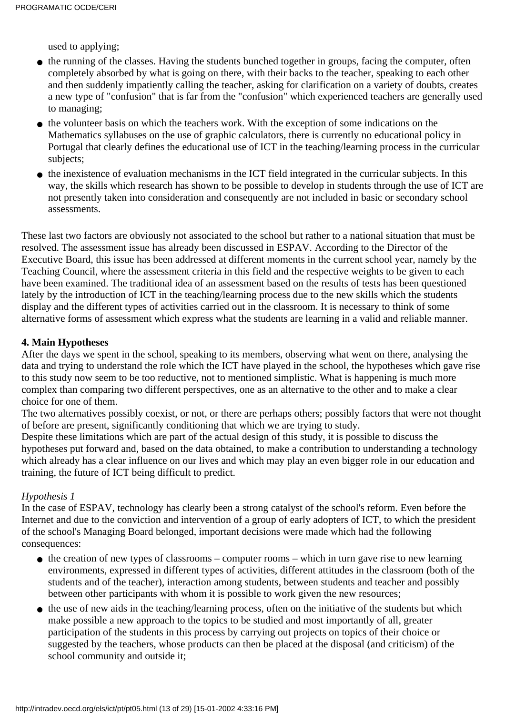used to applying;

- the running of the classes. Having the students bunched together in groups, facing the computer, often completely absorbed by what is going on there, with their backs to the teacher, speaking to each other and then suddenly impatiently calling the teacher, asking for clarification on a variety of doubts, creates a new type of "confusion" that is far from the "confusion" which experienced teachers are generally used to managing;
- the volunteer basis on which the teachers work. With the exception of some indications on the Mathematics syllabuses on the use of graphic calculators, there is currently no educational policy in Portugal that clearly defines the educational use of ICT in the teaching/learning process in the curricular subjects;
- the inexistence of evaluation mechanisms in the ICT field integrated in the curricular subjects. In this way, the skills which research has shown to be possible to develop in students through the use of ICT are not presently taken into consideration and consequently are not included in basic or secondary school assessments.

These last two factors are obviously not associated to the school but rather to a national situation that must be resolved. The assessment issue has already been discussed in ESPAV. According to the Director of the Executive Board, this issue has been addressed at different moments in the current school year, namely by the Teaching Council, where the assessment criteria in this field and the respective weights to be given to each have been examined. The traditional idea of an assessment based on the results of tests has been questioned lately by the introduction of ICT in the teaching/learning process due to the new skills which the students display and the different types of activities carried out in the classroom. It is necessary to think of some alternative forms of assessment which express what the students are learning in a valid and reliable manner.

## **4. Main Hypotheses**

After the days we spent in the school, speaking to its members, observing what went on there, analysing the data and trying to understand the role which the ICT have played in the school, the hypotheses which gave rise to this study now seem to be too reductive, not to mentioned simplistic. What is happening is much more complex than comparing two different perspectives, one as an alternative to the other and to make a clear choice for one of them.

The two alternatives possibly coexist, or not, or there are perhaps others; possibly factors that were not thought of before are present, significantly conditioning that which we are trying to study.

Despite these limitations which are part of the actual design of this study, it is possible to discuss the hypotheses put forward and, based on the data obtained, to make a contribution to understanding a technology which already has a clear influence on our lives and which may play an even bigger role in our education and training, the future of ICT being difficult to predict.

## *Hypothesis 1*

In the case of ESPAV, technology has clearly been a strong catalyst of the school's reform. Even before the Internet and due to the conviction and intervention of a group of early adopters of ICT, to which the president of the school's Managing Board belonged, important decisions were made which had the following consequences:

- the creation of new types of classrooms computer rooms which in turn gave rise to new learning environments, expressed in different types of activities, different attitudes in the classroom (both of the students and of the teacher), interaction among students, between students and teacher and possibly between other participants with whom it is possible to work given the new resources;
- the use of new aids in the teaching/learning process, often on the initiative of the students but which make possible a new approach to the topics to be studied and most importantly of all, greater participation of the students in this process by carrying out projects on topics of their choice or suggested by the teachers, whose products can then be placed at the disposal (and criticism) of the school community and outside it;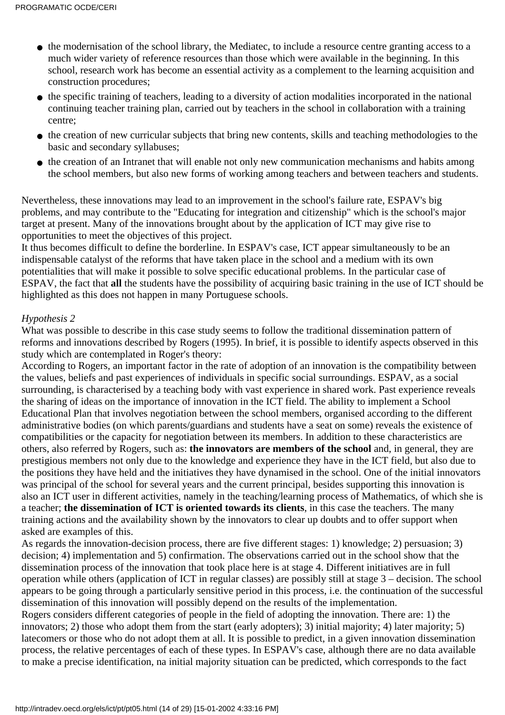- the modernisation of the school library, the Mediatec, to include a resource centre granting access to a much wider variety of reference resources than those which were available in the beginning. In this school, research work has become an essential activity as a complement to the learning acquisition and construction procedures;
- the specific training of teachers, leading to a diversity of action modalities incorporated in the national continuing teacher training plan, carried out by teachers in the school in collaboration with a training centre;
- the creation of new curricular subjects that bring new contents, skills and teaching methodologies to the basic and secondary syllabuses;
- the creation of an Intranet that will enable not only new communication mechanisms and habits among the school members, but also new forms of working among teachers and between teachers and students.

Nevertheless, these innovations may lead to an improvement in the school's failure rate, ESPAV's big problems, and may contribute to the "Educating for integration and citizenship" which is the school's major target at present. Many of the innovations brought about by the application of ICT may give rise to opportunities to meet the objectives of this project.

It thus becomes difficult to define the borderline. In ESPAV's case, ICT appear simultaneously to be an indispensable catalyst of the reforms that have taken place in the school and a medium with its own potentialities that will make it possible to solve specific educational problems. In the particular case of ESPAV, the fact that **all** the students have the possibility of acquiring basic training in the use of ICT should be highlighted as this does not happen in many Portuguese schools.

#### *Hypothesis 2*

What was possible to describe in this case study seems to follow the traditional dissemination pattern of reforms and innovations described by Rogers (1995). In brief, it is possible to identify aspects observed in this study which are contemplated in Roger's theory:

According to Rogers, an important factor in the rate of adoption of an innovation is the compatibility between the values, beliefs and past experiences of individuals in specific social surroundings. ESPAV, as a social surrounding, is characterised by a teaching body with vast experience in shared work. Past experience reveals the sharing of ideas on the importance of innovation in the ICT field. The ability to implement a School Educational Plan that involves negotiation between the school members, organised according to the different administrative bodies (on which parents/guardians and students have a seat on some) reveals the existence of compatibilities or the capacity for negotiation between its members. In addition to these characteristics are others, also referred by Rogers, such as: **the innovators are members of the school** and, in general, they are prestigious members not only due to the knowledge and experience they have in the ICT field, but also due to the positions they have held and the initiatives they have dynamised in the school. One of the initial innovators was principal of the school for several years and the current principal, besides supporting this innovation is also an ICT user in different activities, namely in the teaching/learning process of Mathematics, of which she is a teacher; **the dissemination of ICT is oriented towards its clients**, in this case the teachers. The many training actions and the availability shown by the innovators to clear up doubts and to offer support when asked are examples of this.

As regards the innovation-decision process, there are five different stages: 1) knowledge; 2) persuasion; 3) decision; 4) implementation and 5) confirmation. The observations carried out in the school show that the dissemination process of the innovation that took place here is at stage 4. Different initiatives are in full operation while others (application of ICT in regular classes) are possibly still at stage 3 – decision. The school appears to be going through a particularly sensitive period in this process, i.e. the continuation of the successful dissemination of this innovation will possibly depend on the results of the implementation.

Rogers considers different categories of people in the field of adopting the innovation. There are: 1) the innovators; 2) those who adopt them from the start (early adopters); 3) initial majority; 4) later majority; 5) latecomers or those who do not adopt them at all. It is possible to predict, in a given innovation dissemination process, the relative percentages of each of these types. In ESPAV's case, although there are no data available to make a precise identification, na initial majority situation can be predicted, which corresponds to the fact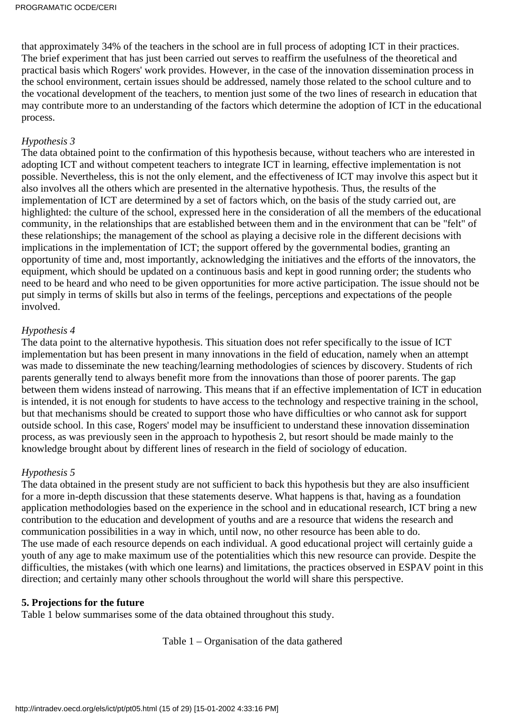that approximately 34% of the teachers in the school are in full process of adopting ICT in their practices. The brief experiment that has just been carried out serves to reaffirm the usefulness of the theoretical and practical basis which Rogers' work provides. However, in the case of the innovation dissemination process in the school environment, certain issues should be addressed, namely those related to the school culture and to the vocational development of the teachers, to mention just some of the two lines of research in education that may contribute more to an understanding of the factors which determine the adoption of ICT in the educational process.

#### *Hypothesis 3*

The data obtained point to the confirmation of this hypothesis because, without teachers who are interested in adopting ICT and without competent teachers to integrate ICT in learning, effective implementation is not possible. Nevertheless, this is not the only element, and the effectiveness of ICT may involve this aspect but it also involves all the others which are presented in the alternative hypothesis. Thus, the results of the implementation of ICT are determined by a set of factors which, on the basis of the study carried out, are highlighted: the culture of the school, expressed here in the consideration of all the members of the educational community, in the relationships that are established between them and in the environment that can be "felt" of these relationships; the management of the school as playing a decisive role in the different decisions with implications in the implementation of ICT; the support offered by the governmental bodies, granting an opportunity of time and, most importantly, acknowledging the initiatives and the efforts of the innovators, the equipment, which should be updated on a continuous basis and kept in good running order; the students who need to be heard and who need to be given opportunities for more active participation. The issue should not be put simply in terms of skills but also in terms of the feelings, perceptions and expectations of the people involved.

#### *Hypothesis 4*

The data point to the alternative hypothesis. This situation does not refer specifically to the issue of ICT implementation but has been present in many innovations in the field of education, namely when an attempt was made to disseminate the new teaching/learning methodologies of sciences by discovery. Students of rich parents generally tend to always benefit more from the innovations than those of poorer parents. The gap between them widens instead of narrowing. This means that if an effective implementation of ICT in education is intended, it is not enough for students to have access to the technology and respective training in the school, but that mechanisms should be created to support those who have difficulties or who cannot ask for support outside school. In this case, Rogers' model may be insufficient to understand these innovation dissemination process, as was previously seen in the approach to hypothesis 2, but resort should be made mainly to the knowledge brought about by different lines of research in the field of sociology of education.

#### *Hypothesis 5*

The data obtained in the present study are not sufficient to back this hypothesis but they are also insufficient for a more in-depth discussion that these statements deserve. What happens is that, having as a foundation application methodologies based on the experience in the school and in educational research, ICT bring a new contribution to the education and development of youths and are a resource that widens the research and communication possibilities in a way in which, until now, no other resource has been able to do. The use made of each resource depends on each individual. A good educational project will certainly guide a youth of any age to make maximum use of the potentialities which this new resource can provide. Despite the difficulties, the mistakes (with which one learns) and limitations, the practices observed in ESPAV point in this direction; and certainly many other schools throughout the world will share this perspective.

#### **5. Projections for the future**

Table 1 below summarises some of the data obtained throughout this study.

Table 1 – Organisation of the data gathered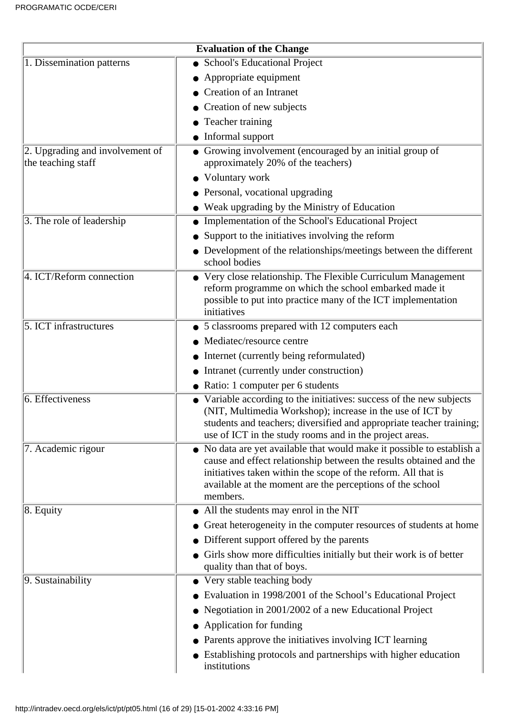| <b>Evaluation of the Change</b>                           |                                                                                                                                                                                                                                                                                        |  |  |  |  |  |
|-----------------------------------------------------------|----------------------------------------------------------------------------------------------------------------------------------------------------------------------------------------------------------------------------------------------------------------------------------------|--|--|--|--|--|
| 1. Dissemination patterns                                 | • School's Educational Project                                                                                                                                                                                                                                                         |  |  |  |  |  |
|                                                           | • Appropriate equipment                                                                                                                                                                                                                                                                |  |  |  |  |  |
|                                                           | • Creation of an Intranet                                                                                                                                                                                                                                                              |  |  |  |  |  |
|                                                           | • Creation of new subjects                                                                                                                                                                                                                                                             |  |  |  |  |  |
|                                                           | • Teacher training                                                                                                                                                                                                                                                                     |  |  |  |  |  |
|                                                           | $\bullet$ Informal support                                                                                                                                                                                                                                                             |  |  |  |  |  |
| $ 2$ . Upgrading and involvement of<br>the teaching staff | • Growing involvement (encouraged by an initial group of<br>approximately 20% of the teachers)                                                                                                                                                                                         |  |  |  |  |  |
|                                                           | • Voluntary work                                                                                                                                                                                                                                                                       |  |  |  |  |  |
|                                                           | • Personal, vocational upgrading                                                                                                                                                                                                                                                       |  |  |  |  |  |
|                                                           | • Weak upgrading by the Ministry of Education                                                                                                                                                                                                                                          |  |  |  |  |  |
| 3. The role of leadership                                 | Implementation of the School's Educational Project                                                                                                                                                                                                                                     |  |  |  |  |  |
|                                                           | • Support to the initiatives involving the reform                                                                                                                                                                                                                                      |  |  |  |  |  |
|                                                           | • Development of the relationships/meetings between the different<br>school bodies                                                                                                                                                                                                     |  |  |  |  |  |
| 4. ICT/Reform connection                                  | • Very close relationship. The Flexible Curriculum Management<br>reform programme on which the school embarked made it<br>possible to put into practice many of the ICT implementation<br>initiatives                                                                                  |  |  |  |  |  |
| 5. ICT infrastructures                                    | • 5 classrooms prepared with 12 computers each                                                                                                                                                                                                                                         |  |  |  |  |  |
|                                                           | Mediatec/resource centre                                                                                                                                                                                                                                                               |  |  |  |  |  |
|                                                           | • Internet (currently being reformulated)                                                                                                                                                                                                                                              |  |  |  |  |  |
|                                                           | • Intranet (currently under construction)                                                                                                                                                                                                                                              |  |  |  |  |  |
|                                                           | • Ratio: 1 computer per 6 students                                                                                                                                                                                                                                                     |  |  |  |  |  |
| 6. Effectiveness                                          | • Variable according to the initiatives: success of the new subjects<br>(NIT, Multimedia Workshop); increase in the use of ICT by<br>students and teachers; diversified and appropriate teacher training;<br>use of ICT in the study rooms and in the project areas.                   |  |  |  |  |  |
| 7. Academic rigour                                        | • No data are yet available that would make it possible to establish a<br>cause and effect relationship between the results obtained and the<br>initiatives taken within the scope of the reform. All that is<br>available at the moment are the perceptions of the school<br>members. |  |  |  |  |  |
| $ 8.$ Equity                                              | • All the students may enrol in the NIT                                                                                                                                                                                                                                                |  |  |  |  |  |
|                                                           | • Great heterogeneity in the computer resources of students at home                                                                                                                                                                                                                    |  |  |  |  |  |
|                                                           | • Different support offered by the parents                                                                                                                                                                                                                                             |  |  |  |  |  |
|                                                           | Girls show more difficulties initially but their work is of better<br>quality than that of boys.                                                                                                                                                                                       |  |  |  |  |  |
| 9. Sustainability                                         | • Very stable teaching body                                                                                                                                                                                                                                                            |  |  |  |  |  |
|                                                           | Evaluation in 1998/2001 of the School's Educational Project                                                                                                                                                                                                                            |  |  |  |  |  |
|                                                           | Negotiation in 2001/2002 of a new Educational Project                                                                                                                                                                                                                                  |  |  |  |  |  |
|                                                           | • Application for funding                                                                                                                                                                                                                                                              |  |  |  |  |  |
|                                                           | • Parents approve the initiatives involving ICT learning                                                                                                                                                                                                                               |  |  |  |  |  |
|                                                           | • Establishing protocols and partnerships with higher education<br>institutions                                                                                                                                                                                                        |  |  |  |  |  |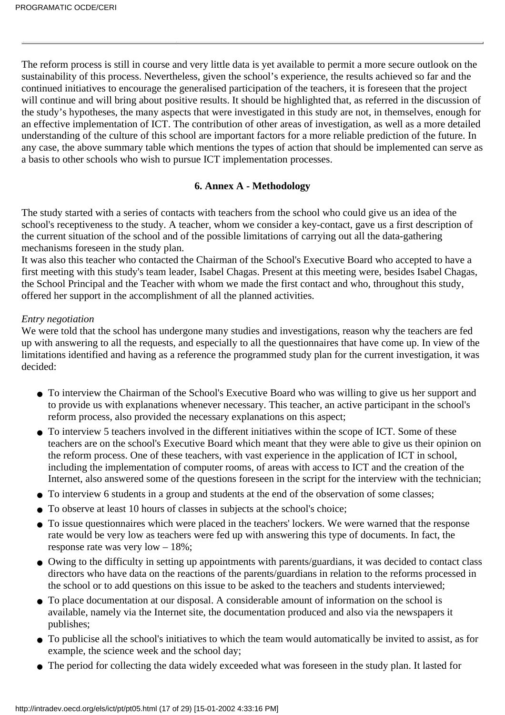The reform process is still in course and very little data is yet available to permit a more secure outlook on the sustainability of this process. Nevertheless, given the school's experience, the results achieved so far and the continued initiatives to encourage the generalised participation of the teachers, it is foreseen that the project will continue and will bring about positive results. It should be highlighted that, as referred in the discussion of the study's hypotheses, the many aspects that were investigated in this study are not, in themselves, enough for an effective implementation of ICT. The contribution of other areas of investigation, as well as a more detailed understanding of the culture of this school are important factors for a more reliable prediction of the future. In any case, the above summary table which mentions the types of action that should be implemented can serve as a basis to other schools who wish to pursue ICT implementation processes.

### **6. Annex A - Methodology**

The study started with a series of contacts with teachers from the school who could give us an idea of the school's receptiveness to the study. A teacher, whom we consider a key-contact, gave us a first description of the current situation of the school and of the possible limitations of carrying out all the data-gathering mechanisms foreseen in the study plan.

It was also this teacher who contacted the Chairman of the School's Executive Board who accepted to have a first meeting with this study's team leader, Isabel Chagas. Present at this meeting were, besides Isabel Chagas, the School Principal and the Teacher with whom we made the first contact and who, throughout this study, offered her support in the accomplishment of all the planned activities.

#### *Entry negotiation*

We were told that the school has undergone many studies and investigations, reason why the teachers are fed up with answering to all the requests, and especially to all the questionnaires that have come up. In view of the limitations identified and having as a reference the programmed study plan for the current investigation, it was decided:

- To interview the Chairman of the School's Executive Board who was willing to give us her support and to provide us with explanations whenever necessary. This teacher, an active participant in the school's reform process, also provided the necessary explanations on this aspect;
- To interview 5 teachers involved in the different initiatives within the scope of ICT. Some of these teachers are on the school's Executive Board which meant that they were able to give us their opinion on the reform process. One of these teachers, with vast experience in the application of ICT in school, including the implementation of computer rooms, of areas with access to ICT and the creation of the Internet, also answered some of the questions foreseen in the script for the interview with the technician;
- To interview 6 students in a group and students at the end of the observation of some classes;
- To observe at least 10 hours of classes in subjects at the school's choice;
- To issue questionnaires which were placed in the teachers' lockers. We were warned that the response rate would be very low as teachers were fed up with answering this type of documents. In fact, the response rate was very low – 18%;
- Owing to the difficulty in setting up appointments with parents/guardians, it was decided to contact class directors who have data on the reactions of the parents/guardians in relation to the reforms processed in the school or to add questions on this issue to be asked to the teachers and students interviewed;
- To place documentation at our disposal. A considerable amount of information on the school is available, namely via the Internet site, the documentation produced and also via the newspapers it publishes;
- To publicise all the school's initiatives to which the team would automatically be invited to assist, as for example, the science week and the school day;
- The period for collecting the data widely exceeded what was foreseen in the study plan. It lasted for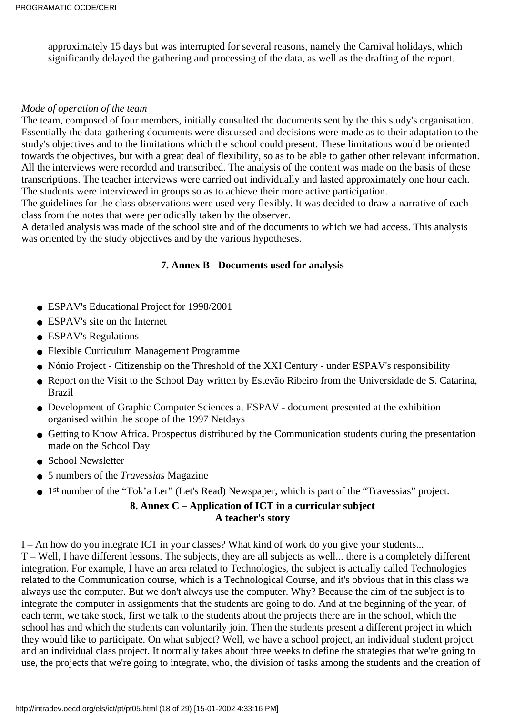approximately 15 days but was interrupted for several reasons, namely the Carnival holidays, which significantly delayed the gathering and processing of the data, as well as the drafting of the report.

#### *Mode of operation of the team*

The team, composed of four members, initially consulted the documents sent by the this study's organisation. Essentially the data-gathering documents were discussed and decisions were made as to their adaptation to the study's objectives and to the limitations which the school could present. These limitations would be oriented towards the objectives, but with a great deal of flexibility, so as to be able to gather other relevant information. All the interviews were recorded and transcribed. The analysis of the content was made on the basis of these transcriptions. The teacher interviews were carried out individually and lasted approximately one hour each. The students were interviewed in groups so as to achieve their more active participation.

The guidelines for the class observations were used very flexibly. It was decided to draw a narrative of each class from the notes that were periodically taken by the observer.

A detailed analysis was made of the school site and of the documents to which we had access. This analysis was oriented by the study objectives and by the various hypotheses.

## **7. Annex B - Documents used for analysis**

- ESPAV's Educational Project for 1998/2001
- ESPAV's site on the Internet
- ESPAV's Regulations
- Flexible Curriculum Management Programme
- Nónio Project Citizenship on the Threshold of the XXI Century under ESPAV's responsibility
- Report on the Visit to the School Day written by Estevão Ribeiro from the Universidade de S. Catarina, Brazil
- Development of Graphic Computer Sciences at ESPAV document presented at the exhibition organised within the scope of the 1997 Netdays
- Getting to Know Africa. Prospectus distributed by the Communication students during the presentation made on the School Day
- School Newsletter
- 5 numbers of the *Travessias* Magazine
- 1<sup>st</sup> number of the "Tok'a Ler" (Let's Read) Newspaper, which is part of the "Travessias" project.

## **8. Annex C – Application of ICT in a curricular subject A teacher's story**

I – An how do you integrate ICT in your classes? What kind of work do you give your students...

T – Well, I have different lessons. The subjects, they are all subjects as well... there is a completely different integration. For example, I have an area related to Technologies, the subject is actually called Technologies related to the Communication course, which is a Technological Course, and it's obvious that in this class we always use the computer. But we don't always use the computer. Why? Because the aim of the subject is to integrate the computer in assignments that the students are going to do. And at the beginning of the year, of each term, we take stock, first we talk to the students about the projects there are in the school, which the school has and which the students can voluntarily join. Then the students present a different project in which they would like to participate. On what subject? Well, we have a school project, an individual student project and an individual class project. It normally takes about three weeks to define the strategies that we're going to use, the projects that we're going to integrate, who, the division of tasks among the students and the creation of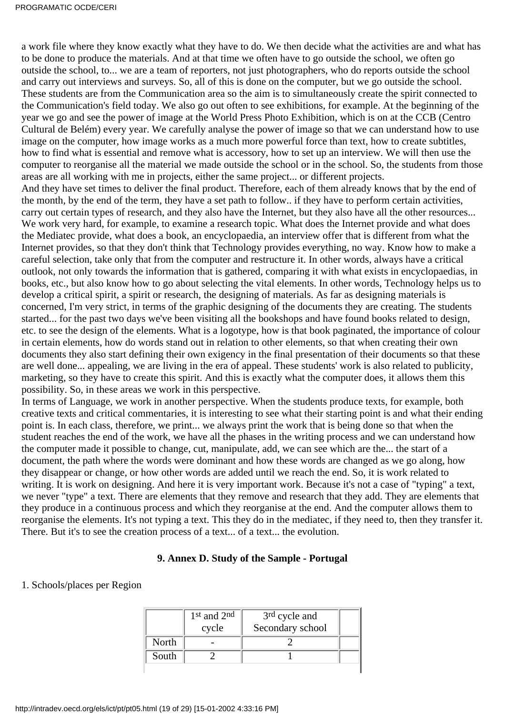a work file where they know exactly what they have to do. We then decide what the activities are and what has to be done to produce the materials. And at that time we often have to go outside the school, we often go outside the school, to... we are a team of reporters, not just photographers, who do reports outside the school and carry out interviews and surveys. So, all of this is done on the computer, but we go outside the school. These students are from the Communication area so the aim is to simultaneously create the spirit connected to the Communication's field today. We also go out often to see exhibitions, for example. At the beginning of the year we go and see the power of image at the World Press Photo Exhibition, which is on at the CCB (Centro Cultural de Belém) every year. We carefully analyse the power of image so that we can understand how to use image on the computer, how image works as a much more powerful force than text, how to create subtitles, how to find what is essential and remove what is accessory, how to set up an interview. We will then use the computer to reorganise all the material we made outside the school or in the school. So, the students from those areas are all working with me in projects, either the same project... or different projects. And they have set times to deliver the final product. Therefore, each of them already knows that by the end of the month, by the end of the term, they have a set path to follow.. if they have to perform certain activities, carry out certain types of research, and they also have the Internet, but they also have all the other resources... We work very hard, for example, to examine a research topic. What does the Internet provide and what does the Mediatec provide, what does a book, an encyclopaedia, an interview offer that is different from what the Internet provides, so that they don't think that Technology provides everything, no way. Know how to make a careful selection, take only that from the computer and restructure it. In other words, always have a critical outlook, not only towards the information that is gathered, comparing it with what exists in encyclopaedias, in books, etc., but also know how to go about selecting the vital elements. In other words, Technology helps us to develop a critical spirit, a spirit or research, the designing of materials. As far as designing materials is concerned, I'm very strict, in terms of the graphic designing of the documents they are creating. The students started... for the past two days we've been visiting all the bookshops and have found books related to design, etc. to see the design of the elements. What is a logotype, how is that book paginated, the importance of colour in certain elements, how do words stand out in relation to other elements, so that when creating their own documents they also start defining their own exigency in the final presentation of their documents so that these are well done... appealing, we are living in the era of appeal. These students' work is also related to publicity, marketing, so they have to create this spirit. And this is exactly what the computer does, it allows them this possibility. So, in these areas we work in this perspective.

In terms of Language, we work in another perspective. When the students produce texts, for example, both creative texts and critical commentaries, it is interesting to see what their starting point is and what their ending point is. In each class, therefore, we print... we always print the work that is being done so that when the student reaches the end of the work, we have all the phases in the writing process and we can understand how the computer made it possible to change, cut, manipulate, add, we can see which are the... the start of a document, the path where the words were dominant and how these words are changed as we go along, how they disappear or change, or how other words are added until we reach the end. So, it is work related to writing. It is work on designing. And here it is very important work. Because it's not a case of "typing" a text, we never "type" a text. There are elements that they remove and research that they add. They are elements that they produce in a continuous process and which they reorganise at the end. And the computer allows them to reorganise the elements. It's not typing a text. This they do in the mediatec, if they need to, then they transfer it. There. But it's to see the creation process of a text... of a text... the evolution.

#### **9. Annex D. Study of the Sample - Portugal**

#### 1. Schools/places per Region

|       | $1st$ and $2nd$<br>cycle | 3 <sup>rd</sup> cycle and<br>Secondary school |  |
|-------|--------------------------|-----------------------------------------------|--|
|       |                          |                                               |  |
| North |                          |                                               |  |
| South |                          |                                               |  |
|       |                          |                                               |  |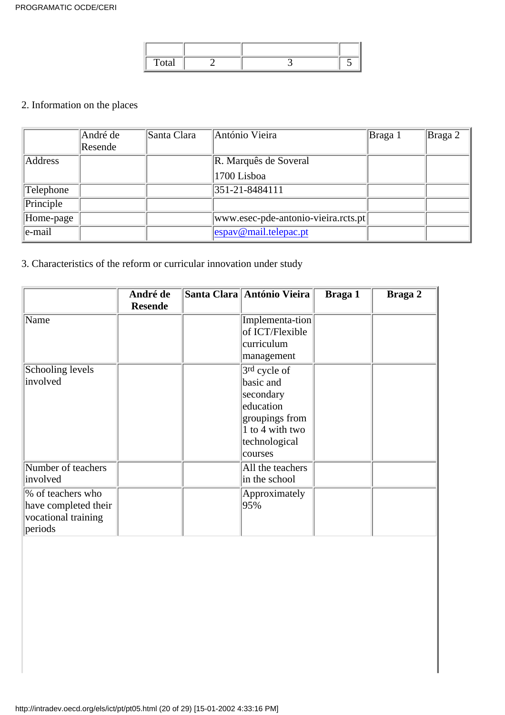| $\mathbf{v}$ |  |  |
|--------------|--|--|

## 2. Information on the places

|            | André de<br>Resende | Santa Clara | António Vieira                      | Braga 1 | $\vert$ Braga 2 |
|------------|---------------------|-------------|-------------------------------------|---------|-----------------|
| Address    |                     |             | R. Marquês de Soveral               |         |                 |
|            |                     |             | 1700 Lisboa                         |         |                 |
| Telephone  |                     |             | 351-21-8484111                      |         |                 |
| Principle  |                     |             |                                     |         |                 |
| Home-page  |                     |             | www.esec-pde-antonio-vieira.rcts.pt |         |                 |
| $ e$ -mail |                     |             | $\epsilon$ espay@mail.telepac.pt    |         |                 |

## 3. Characteristics of the reform or curricular innovation under study

|                                                                             | André de<br><b>Resende</b> | Santa Clara António Vieira                                                                                           | Braga 1 | Braga 2 |
|-----------------------------------------------------------------------------|----------------------------|----------------------------------------------------------------------------------------------------------------------|---------|---------|
| Name                                                                        |                            | Implementa-tion<br>of ICT/Flexible                                                                                   |         |         |
|                                                                             |                            | curriculum<br>management                                                                                             |         |         |
| Schooling levels<br>involved                                                |                            | 3rd cycle of<br>basic and<br>secondary<br>education<br>groupings from<br>1 to 4 with two<br>technological<br>courses |         |         |
| Number of teachers<br>involved                                              |                            | All the teachers<br>in the school                                                                                    |         |         |
| % of teachers who<br>have completed their<br>vocational training<br>periods |                            | Approximately<br>95%                                                                                                 |         |         |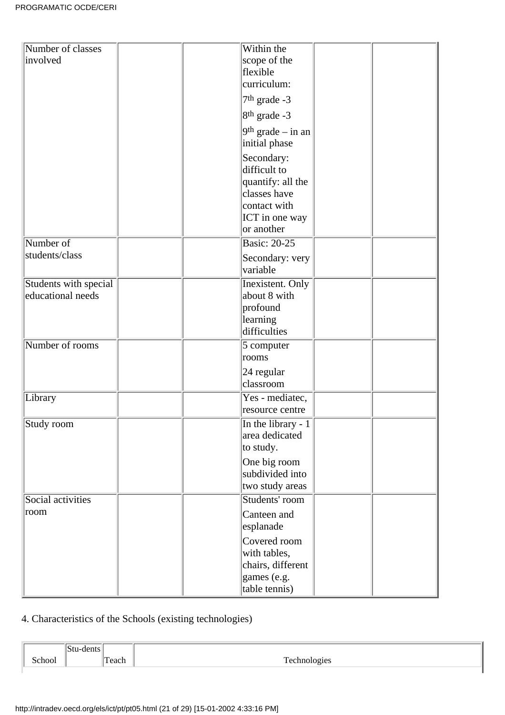| Number of classes     | Within the                                                                                        |
|-----------------------|---------------------------------------------------------------------------------------------------|
| involved              | scope of the                                                                                      |
|                       | flexible                                                                                          |
|                       | curriculum:                                                                                       |
|                       | $7th$ grade -3                                                                                    |
|                       | $8th$ grade -3                                                                                    |
|                       | $9th$ grade – in an<br>initial phase                                                              |
|                       | Secondary:<br>difficult to<br>quantify: all the<br>classes have<br>contact with<br>ICT in one way |
|                       | or another                                                                                        |
| Number of             | <b>Basic: 20-25</b>                                                                               |
| students/class        | Secondary: very<br>variable                                                                       |
| Students with special | Inexistent. Only                                                                                  |
| educational needs     | about 8 with                                                                                      |
|                       | profound                                                                                          |
|                       | learning<br>difficulties                                                                          |
|                       |                                                                                                   |
| Number of rooms       | $5$ computer<br>rooms                                                                             |
|                       | 24 regular                                                                                        |
|                       | classroom                                                                                         |
| Library               | Yes - mediatec,                                                                                   |
|                       | resource centre                                                                                   |
| Study room            | $\boxed{\text{In the library - 1}}$                                                               |
|                       | area dedicated                                                                                    |
|                       | to study.                                                                                         |
|                       | One big room                                                                                      |
|                       | subdivided into                                                                                   |
|                       | two study areas                                                                                   |
| Social activities     | Students' room                                                                                    |
| room                  | Canteen and                                                                                       |
|                       | esplanade                                                                                         |
|                       | Covered room                                                                                      |
|                       | with tables,                                                                                      |
|                       | chairs, different<br>games (e.g.                                                                  |
|                       | table tennis)                                                                                     |

# 4. Characteristics of the Schools (existing technologies)

| $\sim$ la $\sim$ $\sim$ | -aci.<br>. |  |
|-------------------------|------------|--|
|                         |            |  |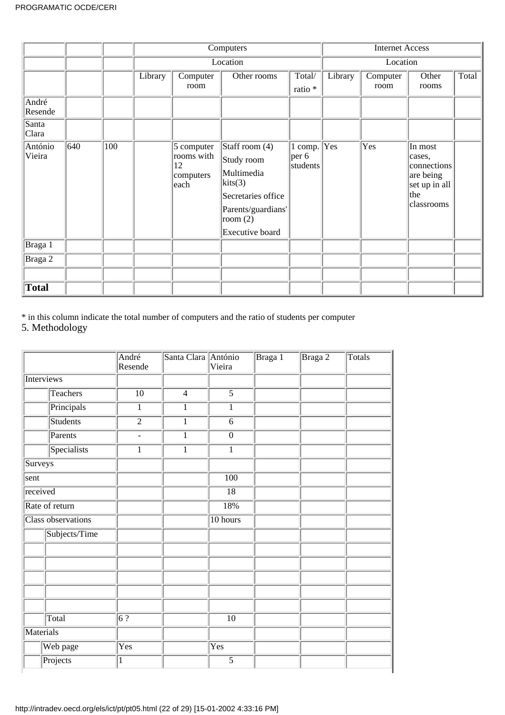|                   |     |     | Computers |                                                     |                                                                                                                                      |                                |         | <b>Internet Access</b> |                                                                                     |       |
|-------------------|-----|-----|-----------|-----------------------------------------------------|--------------------------------------------------------------------------------------------------------------------------------------|--------------------------------|---------|------------------------|-------------------------------------------------------------------------------------|-------|
|                   |     |     |           |                                                     | Location                                                                                                                             |                                |         | Location               |                                                                                     |       |
|                   |     |     | Library   | Computer                                            | Other rooms                                                                                                                          | Total/                         | Library | Computer               | Other                                                                               | Total |
|                   |     |     |           | room                                                |                                                                                                                                      | ratio *                        |         | room                   | rooms                                                                               |       |
| André<br>Resende  |     |     |           |                                                     |                                                                                                                                      |                                |         |                        |                                                                                     |       |
| Santa<br>Clara    |     |     |           |                                                     |                                                                                                                                      |                                |         |                        |                                                                                     |       |
| António<br>Vieira | 640 | 100 |           | 5 computer<br>rooms with<br>12<br>computers<br>each | Staff room $(4)$<br>Study room<br>Multimedia<br>kits(3)<br>Secretaries office<br>Parents/guardians'<br>room $(2)$<br>Executive board | 1 comp.<br> per 6 <br>students | Yes     | Yes                    | In most<br>cases,<br>connections<br>are being<br>set up in all<br>the<br>classrooms |       |
| Braga 1           |     |     |           |                                                     |                                                                                                                                      |                                |         |                        |                                                                                     |       |
| Braga 2           |     |     |           |                                                     |                                                                                                                                      |                                |         |                        |                                                                                     |       |
|                   |     |     |           |                                                     |                                                                                                                                      |                                |         |                        |                                                                                     |       |
| Total             |     |     |           |                                                     |                                                                                                                                      |                                |         |                        |                                                                                     |       |

\* in this column indicate the total number of computers and the ratio of students per computer

5. Methodology

|            |                    | André<br>Resende       | Santa Clara António | Vieira                    | Braga 1 | Braga 2 | Totals |
|------------|--------------------|------------------------|---------------------|---------------------------|---------|---------|--------|
| Interviews |                    |                        |                     |                           |         |         |        |
|            | <b>Teachers</b>    | $\overline{10}$        | $\overline{4}$      | $\overline{5}$            |         |         |        |
|            | Principals         | $\overline{1}$         | $\mathbf{1}$        | $\overline{1}$            |         |         |        |
|            | <b>Students</b>    | $\overline{2}$         | $\mathbf{1}$        | $\overline{6}$            |         |         |        |
|            | Parents            | $\blacksquare$         | $\mathbf{1}$        | $\overline{0}$            |         |         |        |
|            | Specialists        | $\overline{1}$         | $\overline{1}$      | $\overline{1}$            |         |         |        |
| Surveys    |                    |                        |                     |                           |         |         |        |
| sent       |                    |                        |                     | $\overline{100}$          |         |         |        |
| received   |                    |                        |                     | $\overline{18}$           |         |         |        |
|            | Rate of return     |                        |                     | 18%                       |         |         |        |
|            | Class observations |                        |                     | 10 hours                  |         |         |        |
|            | Subjects/Time      |                        |                     |                           |         |         |        |
|            |                    |                        |                     |                           |         |         |        |
|            |                    |                        |                     |                           |         |         |        |
|            |                    |                        |                     |                           |         |         |        |
|            |                    |                        |                     |                           |         |         |        |
|            |                    |                        |                     |                           |         |         |        |
|            | Total              | $\overline{6\sqrt{?}}$ |                     | $\overline{10}$           |         |         |        |
| Materials  |                    |                        |                     |                           |         |         |        |
|            | Web page           | Yes                    |                     | $\overline{\mathrm{Yes}}$ |         |         |        |
|            | Projects           | $\mathbf{1}$           |                     | 5                         |         |         |        |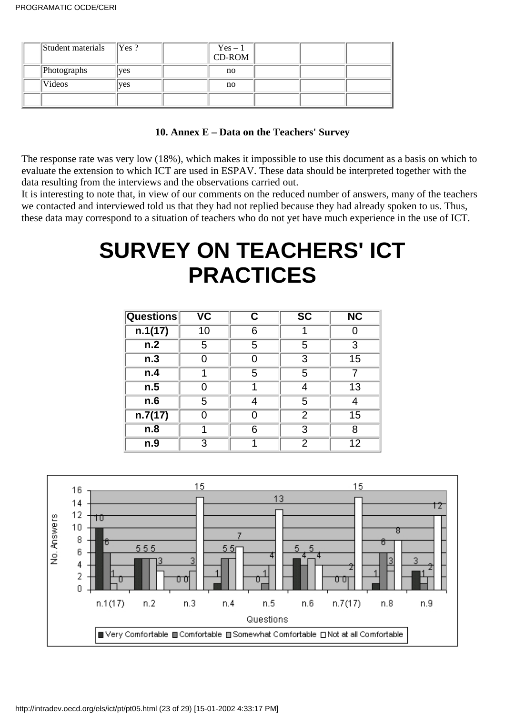| Student materials | Yes ? | $Yes - 1$<br>CD-ROM |  |  |
|-------------------|-------|---------------------|--|--|
| Photographs       | ves   | no                  |  |  |
| Videos            | ves   | no                  |  |  |
|                   |       |                     |  |  |

## **10. Annex E – Data on the Teachers' Survey**

The response rate was very low (18%), which makes it impossible to use this document as a basis on which to evaluate the extension to which ICT are used in ESPAV. These data should be interpreted together with the data resulting from the interviews and the observations carried out.

It is interesting to note that, in view of our comments on the reduced number of answers, many of the teachers we contacted and interviewed told us that they had not replied because they had already spoken to us. Thus, these data may correspond to a situation of teachers who do not yet have much experience in the use of ICT.

# **SURVEY ON TEACHERS' ICT PRACTICES**

| <b>Questions</b> | $\overline{\mathsf{v}\mathsf{c}}$ | С | $\overline{\text{SC}}$ | $\overline{\text{NC}}$ |
|------------------|-----------------------------------|---|------------------------|------------------------|
| n.1(17)          | 10                                | 6 |                        |                        |
| n.2              | 5                                 | 5 | 5                      | 3                      |
| n.3              |                                   | 0 | 3                      | 15                     |
| n.4              | 4                                 | 5 | 5                      |                        |
| n.5              |                                   |   |                        | 13                     |
| n.6              | 5                                 | 4 | 5                      | 4                      |
| n.7(17)          |                                   | ∩ | 2                      | 15                     |
| n.8              |                                   | 6 | 3                      | 8                      |
| n.9              | 3                                 |   | 2                      | 12                     |

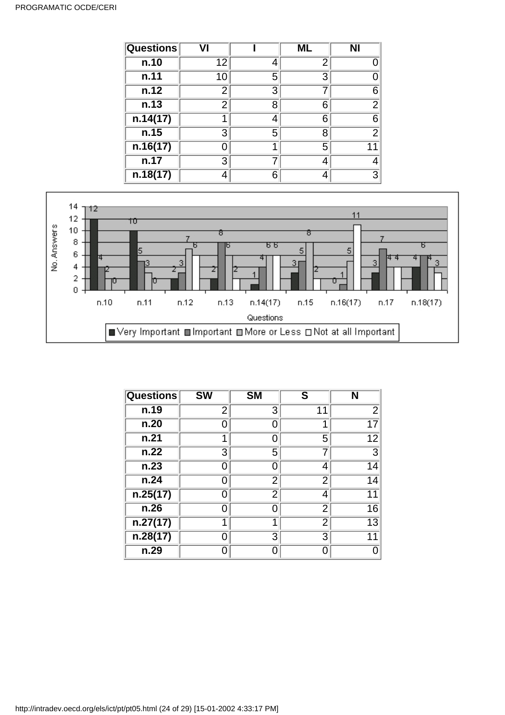#### PROGRAMATIC OCDE/CERI

| <b>Questions</b> |    |   | ML | <b>NI</b>      |
|------------------|----|---|----|----------------|
| n.10             | 12 | 4 | 2  |                |
| n.11             | 10 | 5 | 3  |                |
| n.12             | 2  | 3 |    | 6              |
| n.13             | 2  | 8 | 6  | $\overline{2}$ |
| n.14(17)         |    | 4 | 6  | 6              |
| n.15             | 3  | 5 | 8  | $\overline{2}$ |
| n.16(17)         |    |   | 5  |                |
| n.17             | 3  |   | 4  |                |
| n.18(17)         |    | 6 | 4  | 3              |



| <b>Questions</b> | $\overline{\text{SW}}$ | <b>SM</b>      | S              | N              |
|------------------|------------------------|----------------|----------------|----------------|
| n.19             | 2                      | 3              | 11             | $\overline{2}$ |
| n.20             | ი                      | $\Omega$       |                | 17             |
| n.21             | 1                      | 0              | 5              | 12             |
| n.22             | 3                      | 5              |                | 3              |
| n.23             | O                      | O              | 4              | 14             |
| n.24             | O                      | 2              | 2              | 14             |
| n.25(17)         | O                      | $\overline{2}$ | 4              | 11             |
| n.26             | ი                      | $\overline{0}$ | 2              | 16             |
| n.27(17)         | 1                      | 1              | $\overline{2}$ | 13             |
| n.28(17)         | ი                      | 3              | 3              | 11             |
| n.29             | O                      | 0              | 0              |                |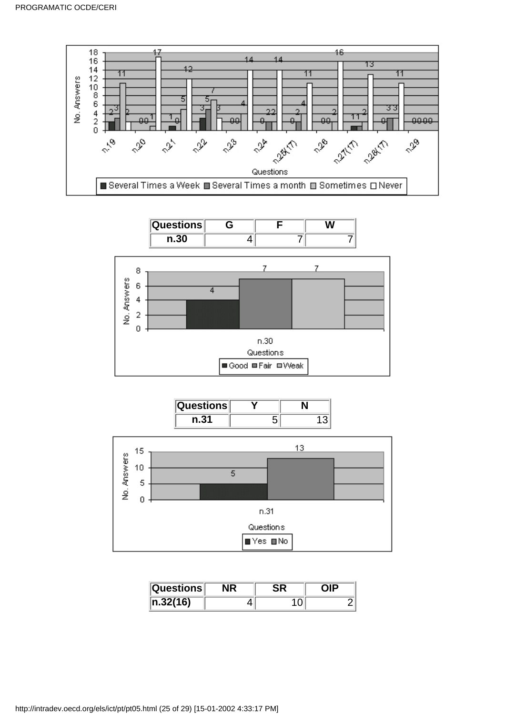







| $\vert\mathsf{Questions}\vert$ |  |  |
|--------------------------------|--|--|
| $\ln 32(16)$                   |  |  |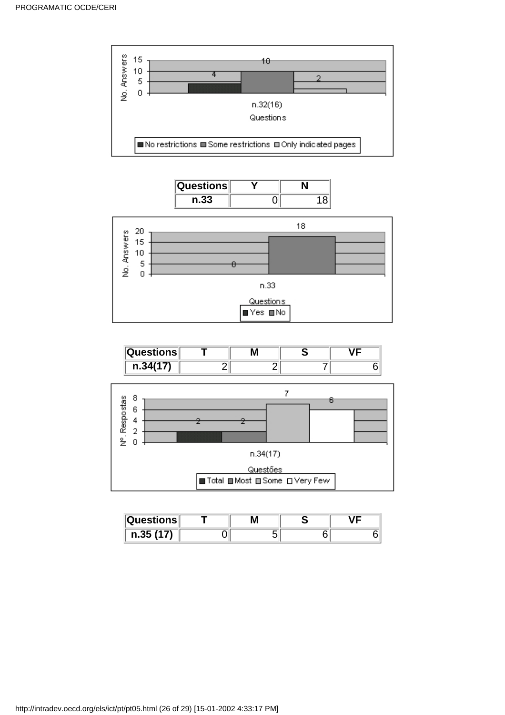









| $\vert\mathsf{Questions}\vert$ | Μ |  |
|--------------------------------|---|--|
| n.35(17)                       |   |  |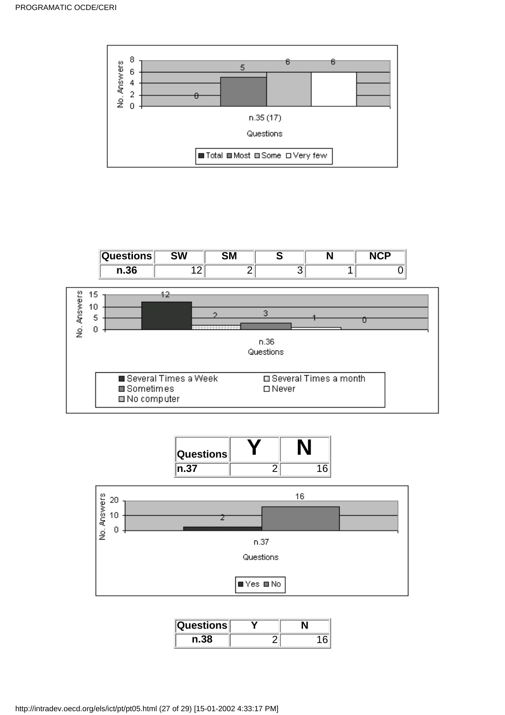







| ิ ⊍uestions∥ |  |
|--------------|--|
|              |  |

http://intradev.oecd.org/els/ict/pt/pt05.html (27 of 29) [15-01-2002 4:33:17 PM]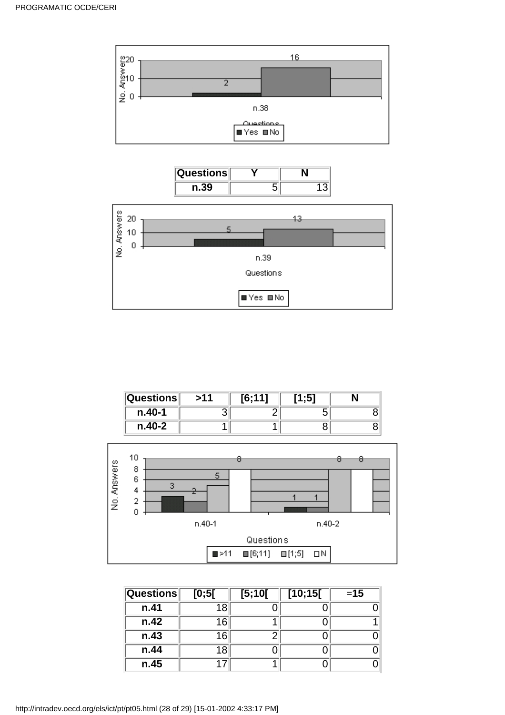





| $\sf\bf\sf\small Questions$ | >11 | 16:111 | [1:5] |  |
|-----------------------------|-----|--------|-------|--|
| $n.40-1$                    |     |        |       |  |
| $n.40-2$                    |     |        |       |  |



| <b>Questions</b> | [0;5[ | [5;10[ | [10;15] | $=15$ |
|------------------|-------|--------|---------|-------|
| n.41             | 18    |        |         |       |
| n.42             | 16    |        |         |       |
| n.43             | 16    | ÷.     |         |       |
| n.44             | 18    |        |         |       |
| n.45             |       |        |         |       |